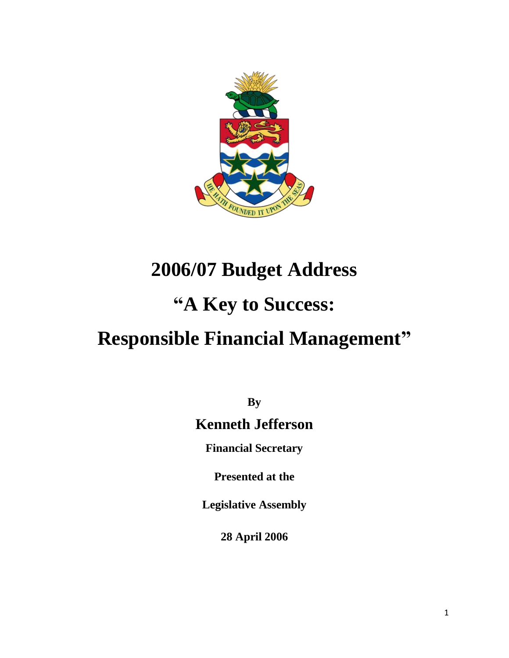

# **2006/07 Budget Address**

# **"A Key to Success:**

# **Responsible Financial Management"**

**By**

# **Kenneth Jefferson**

**Financial Secretary**

**Presented at the**

**Legislative Assembly**

**28 April 2006**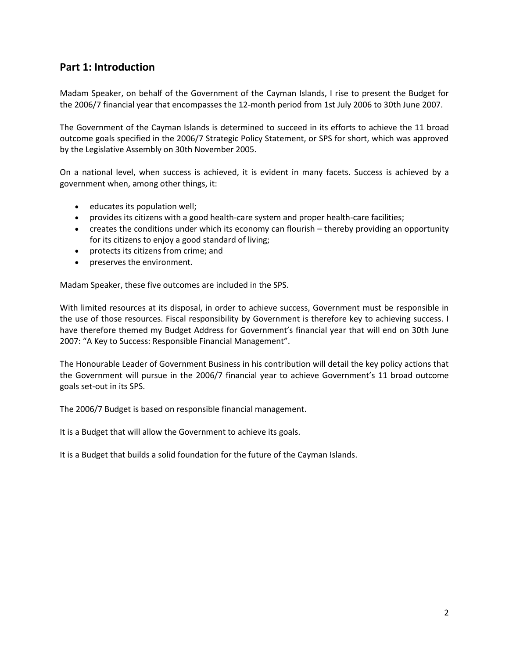## **Part 1: Introduction**

Madam Speaker, on behalf of the Government of the Cayman Islands, I rise to present the Budget for the 2006/7 financial year that encompasses the 12-month period from 1st July 2006 to 30th June 2007.

The Government of the Cayman Islands is determined to succeed in its efforts to achieve the 11 broad outcome goals specified in the 2006/7 Strategic Policy Statement, or SPS for short, which was approved by the Legislative Assembly on 30th November 2005.

On a national level, when success is achieved, it is evident in many facets. Success is achieved by a government when, among other things, it:

- educates its population well;
- provides its citizens with a good health-care system and proper health-care facilities;
- creates the conditions under which its economy can flourish thereby providing an opportunity for its citizens to enjoy a good standard of living;
- protects its citizens from crime; and
- preserves the environment.

Madam Speaker, these five outcomes are included in the SPS.

With limited resources at its disposal, in order to achieve success, Government must be responsible in the use of those resources. Fiscal responsibility by Government is therefore key to achieving success. I have therefore themed my Budget Address for Government's financial year that will end on 30th June 2007: "A Key to Success: Responsible Financial Management".

The Honourable Leader of Government Business in his contribution will detail the key policy actions that the Government will pursue in the 2006/7 financial year to achieve Government's 11 broad outcome goals set-out in its SPS.

The 2006/7 Budget is based on responsible financial management.

It is a Budget that will allow the Government to achieve its goals.

It is a Budget that builds a solid foundation for the future of the Cayman Islands.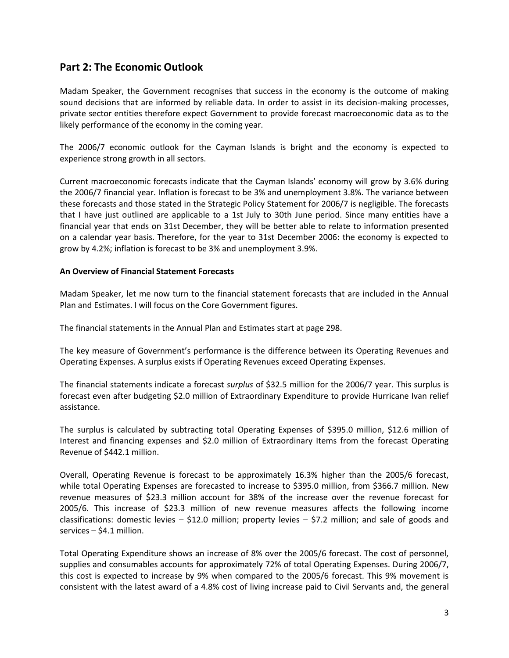### **Part 2: The Economic Outlook**

Madam Speaker, the Government recognises that success in the economy is the outcome of making sound decisions that are informed by reliable data. In order to assist in its decision-making processes, private sector entities therefore expect Government to provide forecast macroeconomic data as to the likely performance of the economy in the coming year.

The 2006/7 economic outlook for the Cayman Islands is bright and the economy is expected to experience strong growth in all sectors.

Current macroeconomic forecasts indicate that the Cayman Islands' economy will grow by 3.6% during the 2006/7 financial year. Inflation is forecast to be 3% and unemployment 3.8%. The variance between these forecasts and those stated in the Strategic Policy Statement for 2006/7 is negligible. The forecasts that I have just outlined are applicable to a 1st July to 30th June period. Since many entities have a financial year that ends on 31st December, they will be better able to relate to information presented on a calendar year basis. Therefore, for the year to 31st December 2006: the economy is expected to grow by 4.2%; inflation is forecast to be 3% and unemployment 3.9%.

#### **An Overview of Financial Statement Forecasts**

Madam Speaker, let me now turn to the financial statement forecasts that are included in the Annual Plan and Estimates. I will focus on the Core Government figures.

The financial statements in the Annual Plan and Estimates start at page 298.

The key measure of Government's performance is the difference between its Operating Revenues and Operating Expenses. A surplus exists if Operating Revenues exceed Operating Expenses.

The financial statements indicate a forecast *surplus* of \$32.5 million for the 2006/7 year. This surplus is forecast even after budgeting \$2.0 million of Extraordinary Expenditure to provide Hurricane Ivan relief assistance.

The surplus is calculated by subtracting total Operating Expenses of \$395.0 million, \$12.6 million of Interest and financing expenses and \$2.0 million of Extraordinary Items from the forecast Operating Revenue of \$442.1 million.

Overall, Operating Revenue is forecast to be approximately 16.3% higher than the 2005/6 forecast, while total Operating Expenses are forecasted to increase to \$395.0 million, from \$366.7 million. New revenue measures of \$23.3 million account for 38% of the increase over the revenue forecast for 2005/6. This increase of \$23.3 million of new revenue measures affects the following income classifications: domestic levies  $-$  \$12.0 million; property levies  $-$  \$7.2 million; and sale of goods and services – \$4.1 million.

Total Operating Expenditure shows an increase of 8% over the 2005/6 forecast. The cost of personnel, supplies and consumables accounts for approximately 72% of total Operating Expenses. During 2006/7, this cost is expected to increase by 9% when compared to the 2005/6 forecast. This 9% movement is consistent with the latest award of a 4.8% cost of living increase paid to Civil Servants and, the general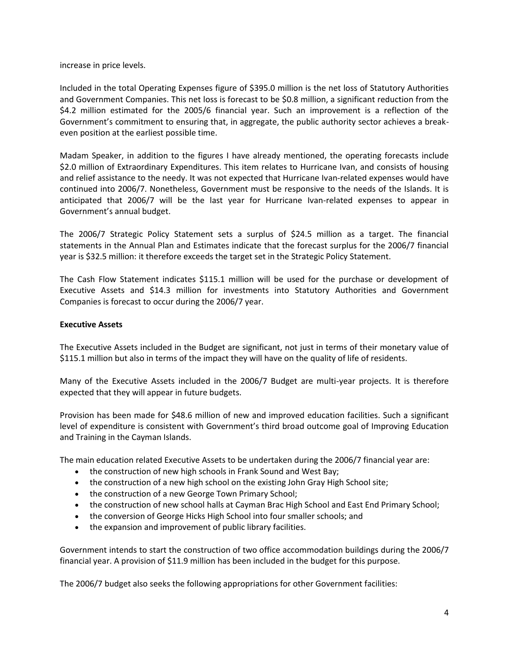increase in price levels.

Included in the total Operating Expenses figure of \$395.0 million is the net loss of Statutory Authorities and Government Companies. This net loss is forecast to be \$0.8 million, a significant reduction from the \$4.2 million estimated for the 2005/6 financial year. Such an improvement is a reflection of the Government's commitment to ensuring that, in aggregate, the public authority sector achieves a breakeven position at the earliest possible time.

Madam Speaker, in addition to the figures I have already mentioned, the operating forecasts include \$2.0 million of Extraordinary Expenditures. This item relates to Hurricane Ivan, and consists of housing and relief assistance to the needy. It was not expected that Hurricane Ivan-related expenses would have continued into 2006/7. Nonetheless, Government must be responsive to the needs of the Islands. It is anticipated that 2006/7 will be the last year for Hurricane Ivan-related expenses to appear in Government's annual budget.

The 2006/7 Strategic Policy Statement sets a surplus of \$24.5 million as a target. The financial statements in the Annual Plan and Estimates indicate that the forecast surplus for the 2006/7 financial year is \$32.5 million: it therefore exceeds the target set in the Strategic Policy Statement.

The Cash Flow Statement indicates \$115.1 million will be used for the purchase or development of Executive Assets and \$14.3 million for investments into Statutory Authorities and Government Companies is forecast to occur during the 2006/7 year.

#### **Executive Assets**

The Executive Assets included in the Budget are significant, not just in terms of their monetary value of \$115.1 million but also in terms of the impact they will have on the quality of life of residents.

Many of the Executive Assets included in the 2006/7 Budget are multi-year projects. It is therefore expected that they will appear in future budgets.

Provision has been made for \$48.6 million of new and improved education facilities. Such a significant level of expenditure is consistent with Government's third broad outcome goal of Improving Education and Training in the Cayman Islands.

The main education related Executive Assets to be undertaken during the 2006/7 financial year are:

- the construction of new high schools in Frank Sound and West Bay;
- the construction of a new high school on the existing John Gray High School site;
- the construction of a new George Town Primary School;
- the construction of new school halls at Cayman Brac High School and East End Primary School;
- the conversion of George Hicks High School into four smaller schools; and
- the expansion and improvement of public library facilities.

Government intends to start the construction of two office accommodation buildings during the 2006/7 financial year. A provision of \$11.9 million has been included in the budget for this purpose.

The 2006/7 budget also seeks the following appropriations for other Government facilities: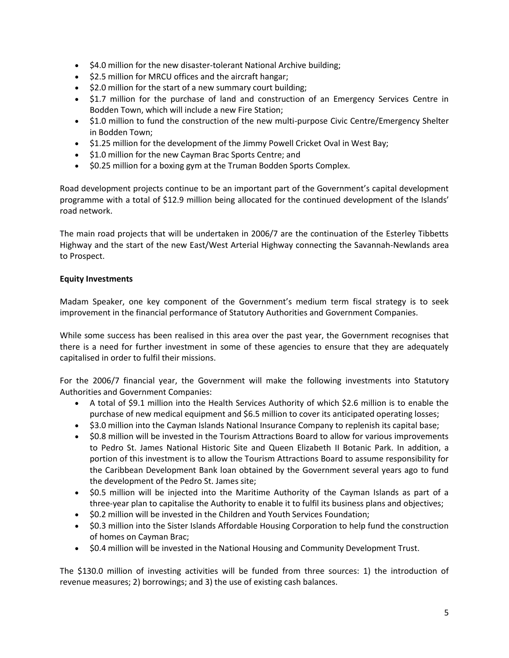- \$4.0 million for the new disaster-tolerant National Archive building;
- \$2.5 million for MRCU offices and the aircraft hangar;
- $\bullet$  \$2.0 million for the start of a new summary court building;
- \$1.7 million for the purchase of land and construction of an Emergency Services Centre in Bodden Town, which will include a new Fire Station;
- \$1.0 million to fund the construction of the new multi-purpose Civic Centre/Emergency Shelter in Bodden Town;
- \$1.25 million for the development of the Jimmy Powell Cricket Oval in West Bay;
- \$1.0 million for the new Cayman Brac Sports Centre; and
- \$0.25 million for a boxing gym at the Truman Bodden Sports Complex.

Road development projects continue to be an important part of the Government's capital development programme with a total of \$12.9 million being allocated for the continued development of the Islands' road network.

The main road projects that will be undertaken in 2006/7 are the continuation of the Esterley Tibbetts Highway and the start of the new East/West Arterial Highway connecting the Savannah-Newlands area to Prospect.

#### **Equity Investments**

Madam Speaker, one key component of the Government's medium term fiscal strategy is to seek improvement in the financial performance of Statutory Authorities and Government Companies.

While some success has been realised in this area over the past year, the Government recognises that there is a need for further investment in some of these agencies to ensure that they are adequately capitalised in order to fulfil their missions.

For the 2006/7 financial year, the Government will make the following investments into Statutory Authorities and Government Companies:

- A total of \$9.1 million into the Health Services Authority of which \$2.6 million is to enable the purchase of new medical equipment and \$6.5 million to cover its anticipated operating losses;
- \$3.0 million into the Cayman Islands National Insurance Company to replenish its capital base;
- \$0.8 million will be invested in the Tourism Attractions Board to allow for various improvements to Pedro St. James National Historic Site and Queen Elizabeth II Botanic Park. In addition, a portion of this investment is to allow the Tourism Attractions Board to assume responsibility for the Caribbean Development Bank loan obtained by the Government several years ago to fund the development of the Pedro St. James site;
- \$0.5 million will be injected into the Maritime Authority of the Cayman Islands as part of a three-year plan to capitalise the Authority to enable it to fulfil its business plans and objectives;
- \$0.2 million will be invested in the Children and Youth Services Foundation;
- \$0.3 million into the Sister Islands Affordable Housing Corporation to help fund the construction of homes on Cayman Brac;
- \$0.4 million will be invested in the National Housing and Community Development Trust.

The \$130.0 million of investing activities will be funded from three sources: 1) the introduction of revenue measures; 2) borrowings; and 3) the use of existing cash balances.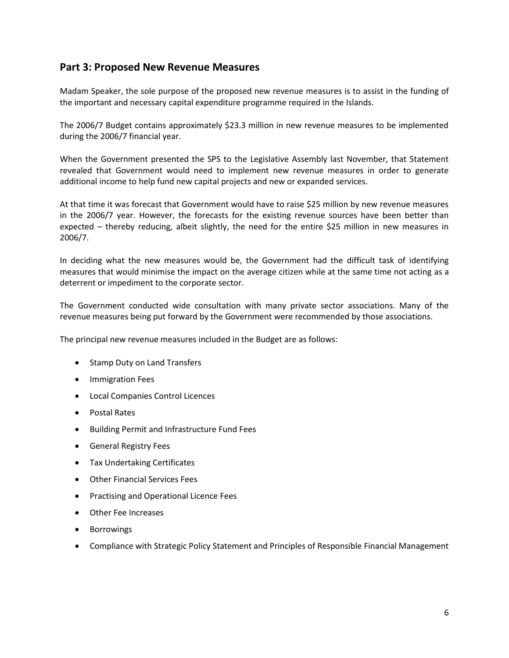### **Part 3: Proposed New Revenue Measures**

Madam Speaker, the sole purpose of the proposed new revenue measures is to assist in the funding of the important and necessary capital expenditure programme required in the Islands.

The 2006/7 Budget contains approximately \$23.3 million in new revenue measures to be implemented during the 2006/7 financial year.

When the Government presented the SPS to the Legislative Assembly last November, that Statement revealed that Government would need to implement new revenue measures in order to generate additional income to help fund new capital projects and new or expanded services.

At that time it was forecast that Government would have to raise \$25 million by new revenue measures in the 2006/7 year. However, the forecasts for the existing revenue sources have been better than expected – thereby reducing, albeit slightly, the need for the entire \$25 million in new measures in 2006/7.

In deciding what the new measures would be, the Government had the difficult task of identifying measures that would minimise the impact on the average citizen while at the same time not acting as a deterrent or impediment to the corporate sector.

The Government conducted wide consultation with many private sector associations. Many of the revenue measures being put forward by the Government were recommended by those associations.

The principal new revenue measures included in the Budget are as follows:

- Stamp Duty on Land Transfers
- **•** Immigration Fees
- Local Companies Control Licences
- Postal Rates
- Building Permit and Infrastructure Fund Fees
- General Registry Fees
- Tax Undertaking Certificates
- Other Financial Services Fees
- **•** Practising and Operational Licence Fees
- Other Fee Increases
- Borrowings
- Compliance with Strategic Policy Statement and Principles of Responsible Financial Management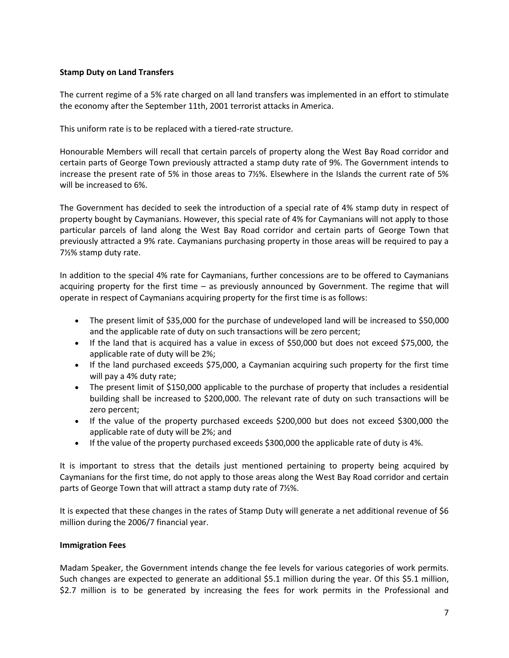#### **Stamp Duty on Land Transfers**

The current regime of a 5% rate charged on all land transfers was implemented in an effort to stimulate the economy after the September 11th, 2001 terrorist attacks in America.

This uniform rate is to be replaced with a tiered-rate structure.

Honourable Members will recall that certain parcels of property along the West Bay Road corridor and certain parts of George Town previously attracted a stamp duty rate of 9%. The Government intends to increase the present rate of 5% in those areas to 7½%. Elsewhere in the Islands the current rate of 5% will be increased to 6%.

The Government has decided to seek the introduction of a special rate of 4% stamp duty in respect of property bought by Caymanians. However, this special rate of 4% for Caymanians will not apply to those particular parcels of land along the West Bay Road corridor and certain parts of George Town that previously attracted a 9% rate. Caymanians purchasing property in those areas will be required to pay a 7½% stamp duty rate.

In addition to the special 4% rate for Caymanians, further concessions are to be offered to Caymanians acquiring property for the first time – as previously announced by Government. The regime that will operate in respect of Caymanians acquiring property for the first time is as follows:

- The present limit of \$35,000 for the purchase of undeveloped land will be increased to \$50,000 and the applicable rate of duty on such transactions will be zero percent;
- If the land that is acquired has a value in excess of \$50,000 but does not exceed \$75,000, the applicable rate of duty will be 2%;
- If the land purchased exceeds \$75,000, a Caymanian acquiring such property for the first time will pay a 4% duty rate;
- The present limit of \$150,000 applicable to the purchase of property that includes a residential building shall be increased to \$200,000. The relevant rate of duty on such transactions will be zero percent;
- If the value of the property purchased exceeds \$200,000 but does not exceed \$300,000 the applicable rate of duty will be 2%; and
- If the value of the property purchased exceeds \$300,000 the applicable rate of duty is 4%.

It is important to stress that the details just mentioned pertaining to property being acquired by Caymanians for the first time, do not apply to those areas along the West Bay Road corridor and certain parts of George Town that will attract a stamp duty rate of 7½%.

It is expected that these changes in the rates of Stamp Duty will generate a net additional revenue of \$6 million during the 2006/7 financial year.

#### **Immigration Fees**

Madam Speaker, the Government intends change the fee levels for various categories of work permits. Such changes are expected to generate an additional \$5.1 million during the year. Of this \$5.1 million, \$2.7 million is to be generated by increasing the fees for work permits in the Professional and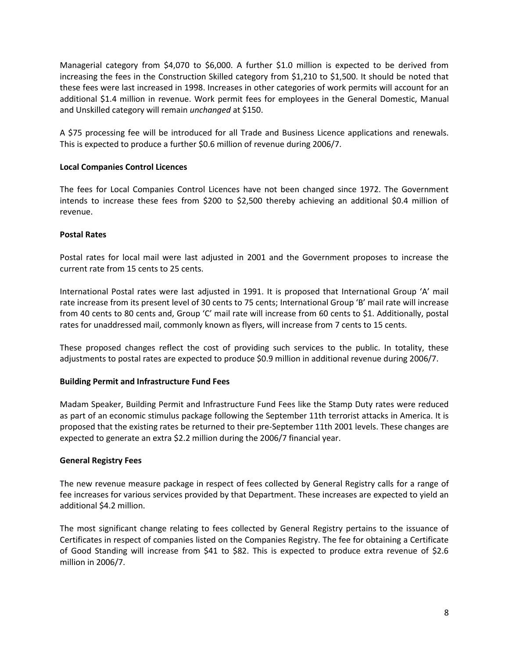Managerial category from \$4,070 to \$6,000. A further \$1.0 million is expected to be derived from increasing the fees in the Construction Skilled category from \$1,210 to \$1,500. It should be noted that these fees were last increased in 1998. Increases in other categories of work permits will account for an additional \$1.4 million in revenue. Work permit fees for employees in the General Domestic, Manual and Unskilled category will remain *unchanged* at \$150.

A \$75 processing fee will be introduced for all Trade and Business Licence applications and renewals. This is expected to produce a further \$0.6 million of revenue during 2006/7.

#### **Local Companies Control Licences**

The fees for Local Companies Control Licences have not been changed since 1972. The Government intends to increase these fees from \$200 to \$2,500 thereby achieving an additional \$0.4 million of revenue.

#### **Postal Rates**

Postal rates for local mail were last adjusted in 2001 and the Government proposes to increase the current rate from 15 cents to 25 cents.

International Postal rates were last adjusted in 1991. It is proposed that International Group 'A' mail rate increase from its present level of 30 cents to 75 cents; International Group 'B' mail rate will increase from 40 cents to 80 cents and, Group 'C' mail rate will increase from 60 cents to \$1. Additionally, postal rates for unaddressed mail, commonly known as flyers, will increase from 7 cents to 15 cents.

These proposed changes reflect the cost of providing such services to the public. In totality, these adjustments to postal rates are expected to produce \$0.9 million in additional revenue during 2006/7.

#### **Building Permit and Infrastructure Fund Fees**

Madam Speaker, Building Permit and Infrastructure Fund Fees like the Stamp Duty rates were reduced as part of an economic stimulus package following the September 11th terrorist attacks in America. It is proposed that the existing rates be returned to their pre-September 11th 2001 levels. These changes are expected to generate an extra \$2.2 million during the 2006/7 financial year.

#### **General Registry Fees**

The new revenue measure package in respect of fees collected by General Registry calls for a range of fee increases for various services provided by that Department. These increases are expected to yield an additional \$4.2 million.

The most significant change relating to fees collected by General Registry pertains to the issuance of Certificates in respect of companies listed on the Companies Registry. The fee for obtaining a Certificate of Good Standing will increase from \$41 to \$82. This is expected to produce extra revenue of \$2.6 million in 2006/7.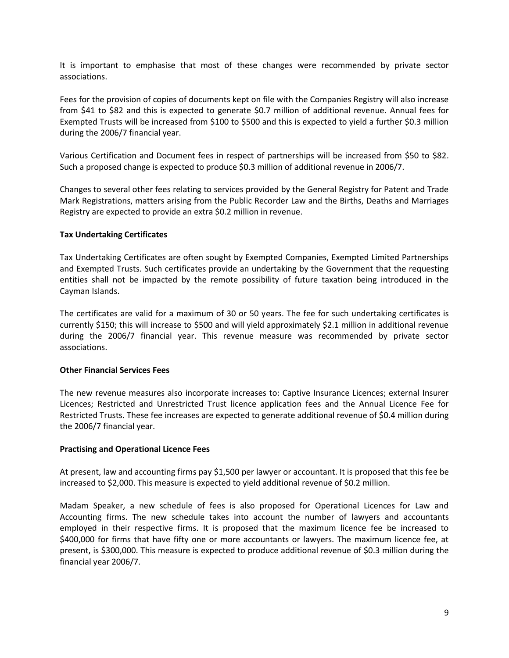It is important to emphasise that most of these changes were recommended by private sector associations.

Fees for the provision of copies of documents kept on file with the Companies Registry will also increase from \$41 to \$82 and this is expected to generate \$0.7 million of additional revenue. Annual fees for Exempted Trusts will be increased from \$100 to \$500 and this is expected to yield a further \$0.3 million during the 2006/7 financial year.

Various Certification and Document fees in respect of partnerships will be increased from \$50 to \$82. Such a proposed change is expected to produce \$0.3 million of additional revenue in 2006/7.

Changes to several other fees relating to services provided by the General Registry for Patent and Trade Mark Registrations, matters arising from the Public Recorder Law and the Births, Deaths and Marriages Registry are expected to provide an extra \$0.2 million in revenue.

#### **Tax Undertaking Certificates**

Tax Undertaking Certificates are often sought by Exempted Companies, Exempted Limited Partnerships and Exempted Trusts. Such certificates provide an undertaking by the Government that the requesting entities shall not be impacted by the remote possibility of future taxation being introduced in the Cayman Islands.

The certificates are valid for a maximum of 30 or 50 years. The fee for such undertaking certificates is currently \$150; this will increase to \$500 and will yield approximately \$2.1 million in additional revenue during the 2006/7 financial year. This revenue measure was recommended by private sector associations.

#### **Other Financial Services Fees**

The new revenue measures also incorporate increases to: Captive Insurance Licences; external Insurer Licences; Restricted and Unrestricted Trust licence application fees and the Annual Licence Fee for Restricted Trusts. These fee increases are expected to generate additional revenue of \$0.4 million during the 2006/7 financial year.

#### **Practising and Operational Licence Fees**

At present, law and accounting firms pay \$1,500 per lawyer or accountant. It is proposed that this fee be increased to \$2,000. This measure is expected to yield additional revenue of \$0.2 million.

Madam Speaker, a new schedule of fees is also proposed for Operational Licences for Law and Accounting firms. The new schedule takes into account the number of lawyers and accountants employed in their respective firms. It is proposed that the maximum licence fee be increased to \$400,000 for firms that have fifty one or more accountants or lawyers. The maximum licence fee, at present, is \$300,000. This measure is expected to produce additional revenue of \$0.3 million during the financial year 2006/7.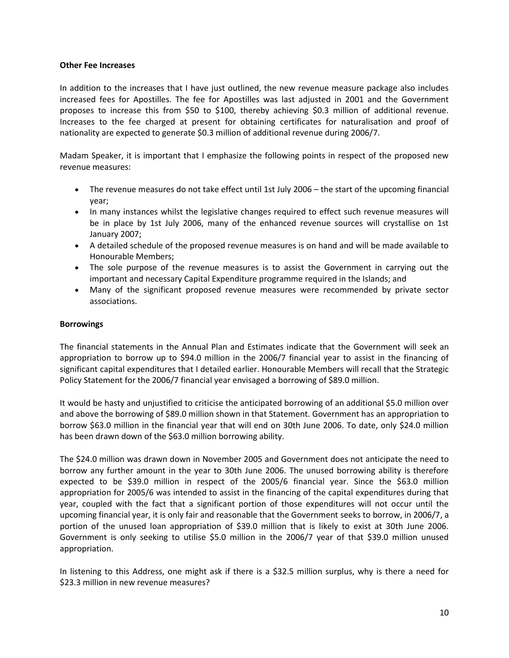#### **Other Fee Increases**

In addition to the increases that I have just outlined, the new revenue measure package also includes increased fees for Apostilles. The fee for Apostilles was last adjusted in 2001 and the Government proposes to increase this from \$50 to \$100, thereby achieving \$0.3 million of additional revenue. Increases to the fee charged at present for obtaining certificates for naturalisation and proof of nationality are expected to generate \$0.3 million of additional revenue during 2006/7.

Madam Speaker, it is important that I emphasize the following points in respect of the proposed new revenue measures:

- The revenue measures do not take effect until 1st July 2006 the start of the upcoming financial year;
- In many instances whilst the legislative changes required to effect such revenue measures will be in place by 1st July 2006, many of the enhanced revenue sources will crystallise on 1st January 2007;
- A detailed schedule of the proposed revenue measures is on hand and will be made available to Honourable Members;
- The sole purpose of the revenue measures is to assist the Government in carrying out the important and necessary Capital Expenditure programme required in the Islands; and
- Many of the significant proposed revenue measures were recommended by private sector associations.

#### **Borrowings**

The financial statements in the Annual Plan and Estimates indicate that the Government will seek an appropriation to borrow up to \$94.0 million in the 2006/7 financial year to assist in the financing of significant capital expenditures that I detailed earlier. Honourable Members will recall that the Strategic Policy Statement for the 2006/7 financial year envisaged a borrowing of \$89.0 million.

It would be hasty and unjustified to criticise the anticipated borrowing of an additional \$5.0 million over and above the borrowing of \$89.0 million shown in that Statement. Government has an appropriation to borrow \$63.0 million in the financial year that will end on 30th June 2006. To date, only \$24.0 million has been drawn down of the \$63.0 million borrowing ability.

The \$24.0 million was drawn down in November 2005 and Government does not anticipate the need to borrow any further amount in the year to 30th June 2006. The unused borrowing ability is therefore expected to be \$39.0 million in respect of the 2005/6 financial year. Since the \$63.0 million appropriation for 2005/6 was intended to assist in the financing of the capital expenditures during that year, coupled with the fact that a significant portion of those expenditures will not occur until the upcoming financial year, it is only fair and reasonable that the Government seeks to borrow, in 2006/7, a portion of the unused loan appropriation of \$39.0 million that is likely to exist at 30th June 2006. Government is only seeking to utilise \$5.0 million in the 2006/7 year of that \$39.0 million unused appropriation.

In listening to this Address, one might ask if there is a \$32.5 million surplus, why is there a need for \$23.3 million in new revenue measures?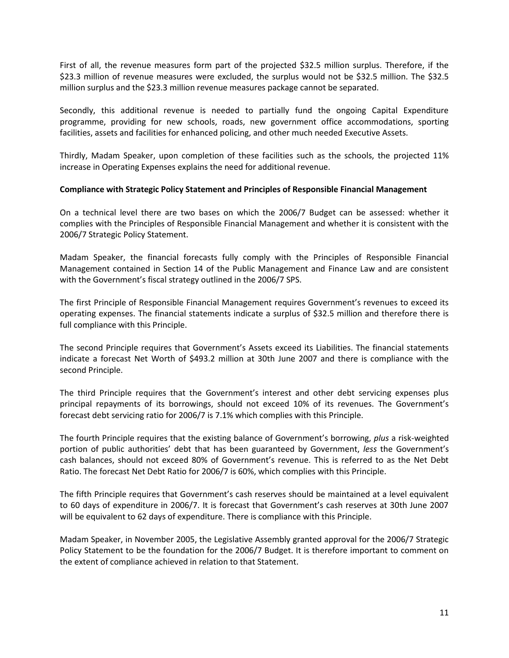First of all, the revenue measures form part of the projected \$32.5 million surplus. Therefore, if the \$23.3 million of revenue measures were excluded, the surplus would not be \$32.5 million. The \$32.5 million surplus and the \$23.3 million revenue measures package cannot be separated.

Secondly, this additional revenue is needed to partially fund the ongoing Capital Expenditure programme, providing for new schools, roads, new government office accommodations, sporting facilities, assets and facilities for enhanced policing, and other much needed Executive Assets.

Thirdly, Madam Speaker, upon completion of these facilities such as the schools, the projected 11% increase in Operating Expenses explains the need for additional revenue.

#### **Compliance with Strategic Policy Statement and Principles of Responsible Financial Management**

On a technical level there are two bases on which the 2006/7 Budget can be assessed: whether it complies with the Principles of Responsible Financial Management and whether it is consistent with the 2006/7 Strategic Policy Statement.

Madam Speaker, the financial forecasts fully comply with the Principles of Responsible Financial Management contained in Section 14 of the Public Management and Finance Law and are consistent with the Government's fiscal strategy outlined in the 2006/7 SPS.

The first Principle of Responsible Financial Management requires Government's revenues to exceed its operating expenses. The financial statements indicate a surplus of \$32.5 million and therefore there is full compliance with this Principle.

The second Principle requires that Government's Assets exceed its Liabilities. The financial statements indicate a forecast Net Worth of \$493.2 million at 30th June 2007 and there is compliance with the second Principle.

The third Principle requires that the Government's interest and other debt servicing expenses plus principal repayments of its borrowings, should not exceed 10% of its revenues. The Government's forecast debt servicing ratio for 2006/7 is 7.1% which complies with this Principle.

The fourth Principle requires that the existing balance of Government's borrowing, *plus* a risk-weighted portion of public authorities' debt that has been guaranteed by Government, *less* the Government's cash balances, should not exceed 80% of Government's revenue. This is referred to as the Net Debt Ratio. The forecast Net Debt Ratio for 2006/7 is 60%, which complies with this Principle.

The fifth Principle requires that Government's cash reserves should be maintained at a level equivalent to 60 days of expenditure in 2006/7. It is forecast that Government's cash reserves at 30th June 2007 will be equivalent to 62 days of expenditure. There is compliance with this Principle.

Madam Speaker, in November 2005, the Legislative Assembly granted approval for the 2006/7 Strategic Policy Statement to be the foundation for the 2006/7 Budget. It is therefore important to comment on the extent of compliance achieved in relation to that Statement.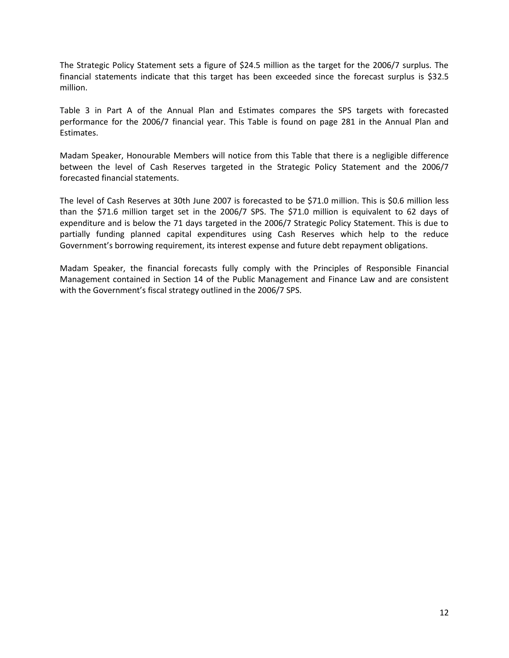The Strategic Policy Statement sets a figure of \$24.5 million as the target for the 2006/7 surplus. The financial statements indicate that this target has been exceeded since the forecast surplus is \$32.5 million.

Table 3 in Part A of the Annual Plan and Estimates compares the SPS targets with forecasted performance for the 2006/7 financial year. This Table is found on page 281 in the Annual Plan and Estimates.

Madam Speaker, Honourable Members will notice from this Table that there is a negligible difference between the level of Cash Reserves targeted in the Strategic Policy Statement and the 2006/7 forecasted financial statements.

The level of Cash Reserves at 30th June 2007 is forecasted to be \$71.0 million. This is \$0.6 million less than the \$71.6 million target set in the 2006/7 SPS. The \$71.0 million is equivalent to 62 days of expenditure and is below the 71 days targeted in the 2006/7 Strategic Policy Statement. This is due to partially funding planned capital expenditures using Cash Reserves which help to the reduce Government's borrowing requirement, its interest expense and future debt repayment obligations.

Madam Speaker, the financial forecasts fully comply with the Principles of Responsible Financial Management contained in Section 14 of the Public Management and Finance Law and are consistent with the Government's fiscal strategy outlined in the 2006/7 SPS.